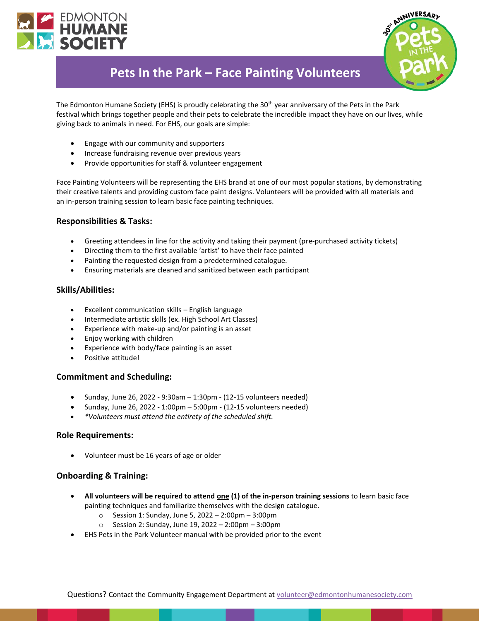



# **Pets In the Park – Face Painting Volunteers**

The Edmonton Humane Society (EHS) is proudly celebrating the 30<sup>th</sup> year anniversary of the Pets in the Park festival which brings together people and their pets to celebrate the incredible impact they have on our lives, while giving back to animals in need. For EHS, our goals are simple:

- Engage with our community and supporters
- Increase fundraising revenue over previous years
- Provide opportunities for staff & volunteer engagement

Face Painting Volunteers will be representing the EHS brand at one of our most popular stations, by demonstrating their creative talents and providing custom face paint designs. Volunteers will be provided with all materials and an in-person training session to learn basic face painting techniques.

## **Responsibilities & Tasks:**

- Greeting attendees in line for the activity and taking their payment (pre-purchased activity tickets)
- Directing them to the first available 'artist' to have their face painted
- Painting the requested design from a predetermined catalogue.
- Ensuring materials are cleaned and sanitized between each participant

## **Skills/Abilities:**

- Excellent communication skills English language
- Intermediate artistic skills (ex. High School Art Classes)
- Experience with make-up and/or painting is an asset
- Enjoy working with children
- Experience with body/face painting is an asset
- Positive attitude!

### **Commitment and Scheduling:**

- Sunday, June 26, 2022 9:30am  $-$  1:30pm (12-15 volunteers needed)
- Sunday, June 26, 2022 1:00pm 5:00pm (12-15 volunteers needed)
- *\*Volunteers must attend the entirety of the scheduled shift.*

### **Role Requirements:**

• Volunteer must be 16 years of age or older

## **Onboarding & Training:**

- **All volunteers will be required to attend one (1) of the in-person training sessions** to learn basic face painting techniques and familiarize themselves with the design catalogue.
	- $\circ$  Session 1: Sunday, June 5, 2022 2:00pm 3:00pm
	- o Session 2: Sunday, June 19, 2022 2:00pm 3:00pm
- EHS Pets in the Park Volunteer manual with be provided prior to the event